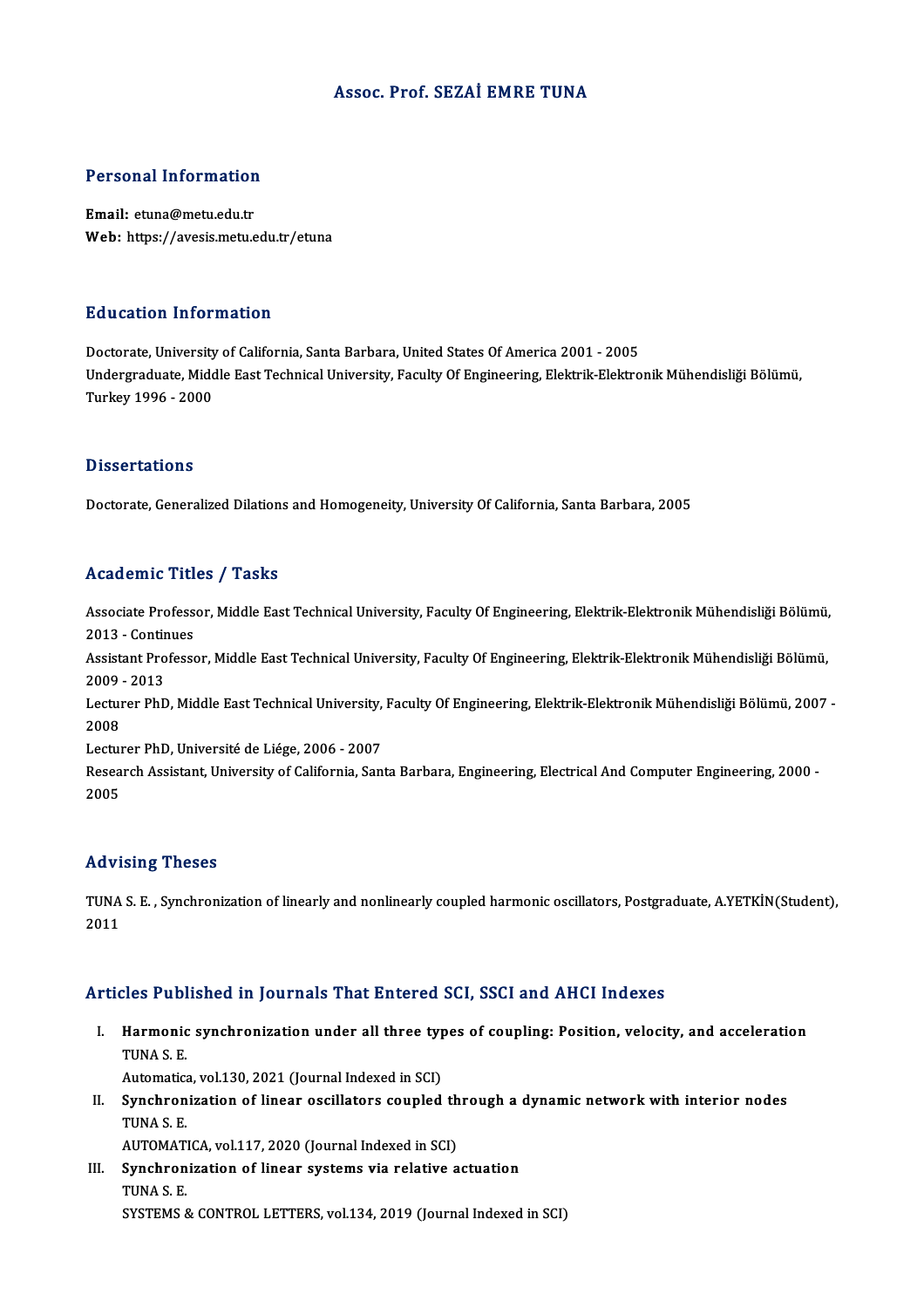# Assoc. Prof. SEZAİ EMRE TUNA

# Personal Information

Personal Information<br>Email: etuna@metu.edu.tr<br>Web: https://avesis.metu.e Email: etuna@metu.edu.tr<br>Web: https://avesis.metu.edu.tr/etuna

## Education Information

Doctorate, University of California, Santa Barbara, United States Of America 2001 - 2005 Undergraduate, Middle East Technical University, Faculty Of Engineering, Elektrik-Elektronik Mühendisliği Bölümü, Turkey1996 -2000

## **Dissertations**

Doctorate, Generalized Dilations and Homogeneity, University Of California, Santa Barbara, 2005

# Academic Titles / Tasks

Academic Titles / Tasks<br>Associate Professor, Middle East Technical University, Faculty Of Engineering, Elektrik-Elektronik Mühendisliği Bölümü,<br>2013. .Continues Associate Profess<br>2013 - Continues<br>Assistant Professe Associate Professor, Middle East Technical University, Faculty Of Engineering, Elektrik-Elektronik Mühendisliği Bölümü,<br>2013 - Continues<br>Assistant Professor, Middle East Technical University, Faculty Of Engineering, Elektr

2013 - Continues<br>Assistant Professor, Middle East Technical University, Faculty Of Engineering, Elektrik-Elektronik Mühendisliği Bölümü,<br>2009 - 2013 Assistant Professor, Middle East Technical University, Faculty Of Engineering, Elektrik-Elektronik Mühendisliği Bölümü,<br>2009 - 2013<br>Lecturer PhD, Middle East Technical University, Faculty Of Engineering, Elektrik-Elektroni

2009<br>Lectur<br>2008<br>Lectur Lecturer PhD, Middle East Technical University,<br>2008<br>Lecturer PhD, Université de Liége, 2006 - 2007<br>Besearsh Assistant University of California, San

2008<br>Lecturer PhD, Université de Liége, 2006 - 2007<br>Research Assistant, University of California, Santa Barbara, Engineering, Electrical And Computer Engineering, 2000 -Lectui<br>Resea<br>2005 Advising Theses

Advising Theses<br>TUNA S. E. , Synchronization of linearly and nonlinearly coupled harmonic oscillators, Postgraduate, A.YETKİN(Student),<br>2011 114 + 1<br>TUNA<br>2011 Articles Published in Journals That Entered SCI, SSCI and AHCI Indexes

- rticles Published in Journals That Entered SCI, SSCI and AHCI Indexes<br>I. Harmonic synchronization under all three types of coupling: Position, velocity, and acceleration<br>TIMAS F Harmonic<br>Harmonic<br>TUNA S. E. Harmonic synchronization under all three typ<br>TUNA S. E.<br>Automatica, vol.130, 2021 (Journal Indexed in SCI)<br>Synchronization of linear oscillators sounled TUNA S. E.<br>Automatica, vol.130, 2021 (Journal Indexed in SCI)<br>II. Synchronization of linear oscillators coupled through a dynamic network with interior nodes<br>TINA S. E
- Automatica<br>Synchron<br>TUNA S. E.<br>AUTOMATI Synchronization of linear oscillators coupled th<br>TUNA S. E.<br>AUTOMATICA, vol.117, 2020 (Journal Indexed in SCI)<br>Synchronization of linear systems via relative a

AUTOMATICA, vol.117, 2020 (Journal Indexed in SCI)

TUNA S. E.<br>AUTOMATICA, vol.117, 2020 (Journal Indexed in SCI)<br>III. Synchronization of linear systems via relative actuation<br>TUNA S. E. SYSTEMS & CONTROL LETTERS, vol.134, 2019 (Journal Indexed in SCI)